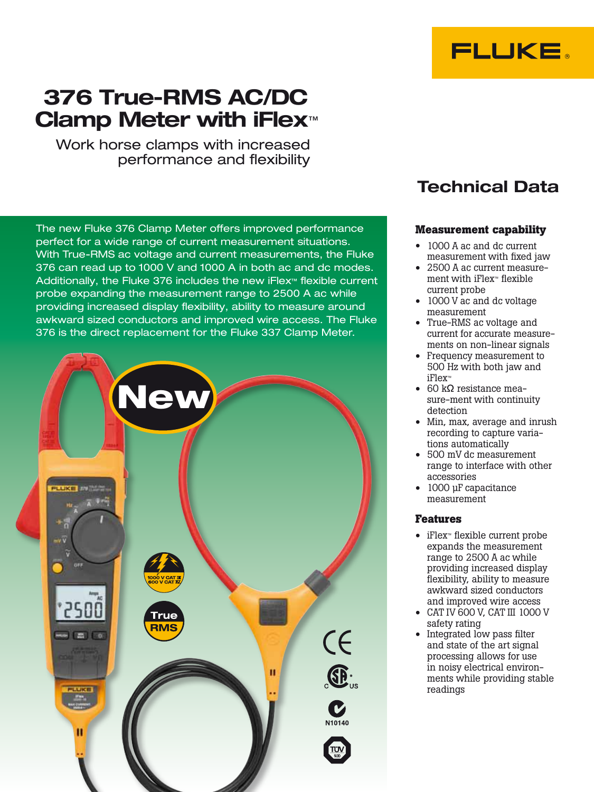# 376 True-RMS AC/DC Clamp Meter with iFlex<sup>™</sup>

Work horse clamps with increased performance and flexibility

The new Fluke 376 Clamp Meter offers improved performance perfect for a wide range of current measurement situations. With True-RMS ac voltage and current measurements, the Fluke 376 can read up to 1000 V and 1000 A in both ac and dc modes. Additionally, the Fluke 376 includes the new iFlex™ flexible current probe expanding the measurement range to 2500 A ac while providing increased display flexibility, ability to measure around awkward sized conductors and improved wire access. The Fluke 376 is the direct replacement for the Fluke 337 Clamp Meter.



## Technical Data

**FLUKE.** 

## **Measurement capability**

- 1000 A ac and dc current measurement with fixed jaw
- • 2500 A ac current measurement with iFlex™ flexible current probe
- 1000 V ac and dc voltage measurement
- • True-RMS ac voltage and current for accurate measurements on non-linear signals
- Frequency measurement to 500 Hz with both jaw and iFlex™
- 60 kΩ resistance measure-ment with continuity detection
- Min, max, average and inrush recording to capture variations automatically
- • 500 mV dc measurement range to interface with other accessories
- 1000 µF capacitance measurement

## **Features**

- • iFlex™ flexible current probe expands the measurement range to 2500 A ac while providing increased display flexibility, ability to measure awkward sized conductors and improved wire access
- • CAT IV 600 V, CAT III 1000 V safety rating
- Integrated low pass filter and state of the art signal processing allows for use in noisy electrical environments while providing stable readings